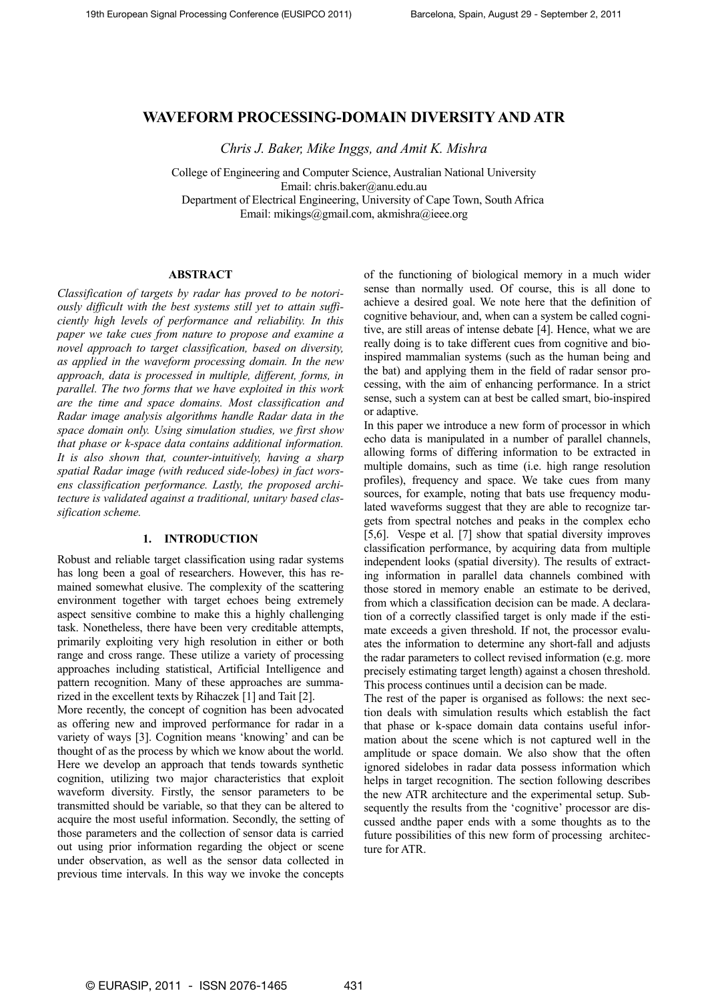# **WAVEFORM PROCESSING-DOMAIN DIVERSITY AND ATR**

*Chris J. Baker, Mike Inggs, and Amit K. Mishra* 

College of Engineering and Computer Science, Australian National University Email: chris.baker@anu.edu.au Department of Electrical Engineering, University of Cape Town, South Africa Email: mikings@gmail.com, akmishra@ieee.org

### **ABSTRACT**

*Classification of targets by radar has proved to be notoriously difficult with the best systems still yet to attain sufficiently high levels of performance and reliability. In this paper we take cues from nature to propose and examine a novel approach to target classification, based on diversity, as applied in the waveform processing domain. In the new approach, data is processed in multiple, different, forms, in parallel. The two forms that we have exploited in this work are the time and space domains. Most classification and Radar image analysis algorithms handle Radar data in the space domain only. Using simulation studies, we first show that phase or k-space data contains additional information. It is also shown that, counter-intuitively, having a sharp spatial Radar image (with reduced side-lobes) in fact worsens classification performance. Lastly, the proposed architecture is validated against a traditional, unitary based classification scheme.* 

# **1. INTRODUCTION**

Robust and reliable target classification using radar systems has long been a goal of researchers. However, this has remained somewhat elusive. The complexity of the scattering environment together with target echoes being extremely aspect sensitive combine to make this a highly challenging task. Nonetheless, there have been very creditable attempts, primarily exploiting very high resolution in either or both range and cross range. These utilize a variety of processing approaches including statistical, Artificial Intelligence and pattern recognition. Many of these approaches are summarized in the excellent texts by Rihaczek [1] and Tait [2].

More recently, the concept of cognition has been advocated as offering new and improved performance for radar in a variety of ways [3]. Cognition means 'knowing' and can be thought of as the process by which we know about the world. Here we develop an approach that tends towards synthetic cognition, utilizing two major characteristics that exploit waveform diversity. Firstly, the sensor parameters to be transmitted should be variable, so that they can be altered to acquire the most useful information. Secondly, the setting of those parameters and the collection of sensor data is carried out using prior information regarding the object or scene under observation, as well as the sensor data collected in previous time intervals. In this way we invoke the concepts

of the functioning of biological memory in a much wider sense than normally used. Of course, this is all done to achieve a desired goal. We note here that the definition of cognitive behaviour, and, when can a system be called cognitive, are still areas of intense debate [4]. Hence, what we are really doing is to take different cues from cognitive and bioinspired mammalian systems (such as the human being and the bat) and applying them in the field of radar sensor processing, with the aim of enhancing performance. In a strict sense, such a system can at best be called smart, bio-inspired or adaptive.

In this paper we introduce a new form of processor in which echo data is manipulated in a number of parallel channels, allowing forms of differing information to be extracted in multiple domains, such as time (i.e. high range resolution profiles), frequency and space. We take cues from many sources, for example, noting that bats use frequency modulated waveforms suggest that they are able to recognize targets from spectral notches and peaks in the complex echo [5,6]. Vespe et al. [7] show that spatial diversity improves classification performance, by acquiring data from multiple independent looks (spatial diversity). The results of extracting information in parallel data channels combined with those stored in memory enable an estimate to be derived, from which a classification decision can be made. A declaration of a correctly classified target is only made if the estimate exceeds a given threshold. If not, the processor evaluates the information to determine any short-fall and adjusts the radar parameters to collect revised information (e.g. more precisely estimating target length) against a chosen threshold. This process continues until a decision can be made.

The rest of the paper is organised as follows: the next section deals with simulation results which establish the fact that phase or k-space domain data contains useful information about the scene which is not captured well in the amplitude or space domain. We also show that the often ignored sidelobes in radar data possess information which helps in target recognition. The section following describes the new ATR architecture and the experimental setup. Subsequently the results from the 'cognitive' processor are discussed andthe paper ends with a some thoughts as to the future possibilities of this new form of processing architecture for ATR.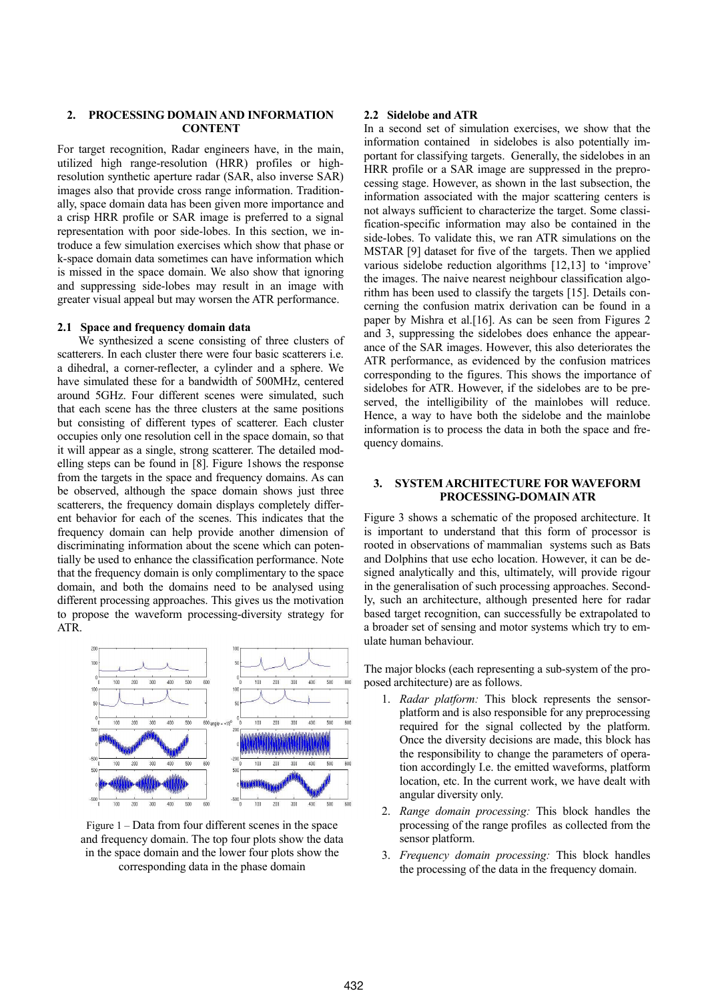# **2. PROCESSING DOMAIN AND INFORMATION CONTENT**

For target recognition, Radar engineers have, in the main, utilized high range-resolution (HRR) profiles or highresolution synthetic aperture radar (SAR, also inverse SAR) images also that provide cross range information. Traditionally, space domain data has been given more importance and a crisp HRR profile or SAR image is preferred to a signal representation with poor side-lobes. In this section, we introduce a few simulation exercises which show that phase or k-space domain data sometimes can have information which is missed in the space domain. We also show that ignoring and suppressing side-lobes may result in an image with greater visual appeal but may worsen the ATR performance.

# **2.1 Space and frequency domain data**

We synthesized a scene consisting of three clusters of scatterers. In each cluster there were four basic scatterers i.e. a dihedral, a corner-reflecter, a cylinder and a sphere. We have simulated these for a bandwidth of 500MHz, centered around 5GHz. Four different scenes were simulated, such that each scene has the three clusters at the same positions but consisting of different types of scatterer. Each cluster occupies only one resolution cell in the space domain, so that it will appear as a single, strong scatterer. The detailed modelling steps can be found in [8]. Figure 1shows the response from the targets in the space and frequency domains. As can be observed, although the space domain shows just three scatterers, the frequency domain displays completely different behavior for each of the scenes. This indicates that the frequency domain can help provide another dimension of discriminating information about the scene which can potentially be used to enhance the classification performance. Note that the frequency domain is only complimentary to the space domain, and both the domains need to be analysed using different processing approaches. This gives us the motivation to propose the waveform processing-diversity strategy for ATR.



Figure 1 – Data from four different scenes in the space and frequency domain. The top four plots show the data in the space domain and the lower four plots show the corresponding data in the phase domain

## **2.2 Sidelobe and ATR**

In a second set of simulation exercises, we show that the information contained in sidelobes is also potentially important for classifying targets. Generally, the sidelobes in an HRR profile or a SAR image are suppressed in the preprocessing stage. However, as shown in the last subsection, the information associated with the major scattering centers is not always sufficient to characterize the target. Some classification-specific information may also be contained in the side-lobes. To validate this, we ran ATR simulations on the MSTAR [9] dataset for five of the targets. Then we applied various sidelobe reduction algorithms [12,13] to 'improve' the images. The naive nearest neighbour classification algorithm has been used to classify the targets [15]. Details concerning the confusion matrix derivation can be found in a paper by Mishra et al.[16]. As can be seen from Figures 2 and 3, suppressing the sidelobes does enhance the appearance of the SAR images. However, this also deteriorates the ATR performance, as evidenced by the confusion matrices corresponding to the figures. This shows the importance of sidelobes for ATR. However, if the sidelobes are to be preserved, the intelligibility of the mainlobes will reduce. Hence, a way to have both the sidelobe and the mainlobe information is to process the data in both the space and frequency domains.

## **3. SYSTEM ARCHITECTURE FOR WAVEFORM PROCESSING-DOMAIN ATR**

Figure 3 shows a schematic of the proposed architecture. It is important to understand that this form of processor is rooted in observations of mammalian systems such as Bats and Dolphins that use echo location. However, it can be designed analytically and this, ultimately, will provide rigour in the generalisation of such processing approaches. Secondly, such an architecture, although presented here for radar based target recognition, can successfully be extrapolated to a broader set of sensing and motor systems which try to emulate human behaviour.

The major blocks (each representing a sub-system of the proposed architecture) are as follows.

- 1. *Radar platform:* This block represents the sensorplatform and is also responsible for any preprocessing required for the signal collected by the platform. Once the diversity decisions are made, this block has the responsibility to change the parameters of operation accordingly I.e. the emitted waveforms, platform location, etc. In the current work, we have dealt with angular diversity only.
- 2. *Range domain processing:* This block handles the processing of the range profiles as collected from the sensor platform.
- 3. *Frequency domain processing:* This block handles the processing of the data in the frequency domain.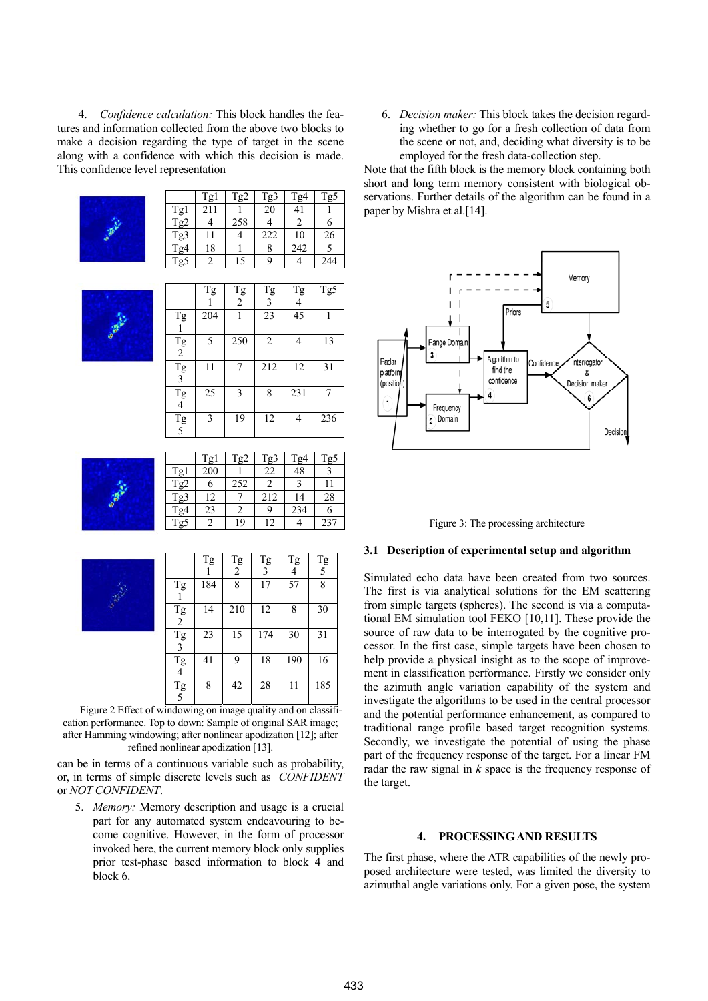4. *Confidence calculation:* This block handles the features and information collected from the above two blocks to make a decision regarding the type of target in the scene along with a confidence with which this decision is made. This confidence level representation



|                 | Tg1 | Tg2 | Tg3 | Tg4 | Tg5 |
|-----------------|-----|-----|-----|-----|-----|
| Tg1             | 211 |     | 20  | 41  |     |
| Tg <sub>2</sub> |     | 258 |     | າ   |     |
| Tg3             | 11  |     | 222 | 10  | 26  |
| Tg4             | 18  |     |     | 242 |     |
| Tg5             |     | 15  | q   |     | 244 |



|                                                 | Tg  | Tg<br>$\overline{2}$ | Tg<br>3        | Tg<br>4 | Tg5 |
|-------------------------------------------------|-----|----------------------|----------------|---------|-----|
| Tg                                              | 204 | 1                    | 23             | 45      |     |
| Tg<br>$\overline{2}$                            | 5   | 250                  | $\overline{2}$ | 4       | 13  |
| Tg<br>$\overline{\mathbf{3}}$                   | 11  | 7                    | 212            | 12      | 31  |
| Tg<br>$\overline{4}$                            | 25  | $\overline{3}$       | 8              | 231     |     |
| $\begin{array}{c}\n\text{Tg} \\ 5\n\end{array}$ | 3   | 19                   | 12             | 4       | 236 |
|                                                 |     |                      |                |         |     |



|                  | Tg1 | Tg2 | Tg3 | Tg4 | Tg5 |
|------------------|-----|-----|-----|-----|-----|
| Tg1              | 200 |     | 22  | 48  |     |
| Tg <sub>2</sub>  |     | 252 |     |     |     |
| Tg3              | 12  |     | 212 | 14  | 28  |
| $Tg\overline{4}$ | 23  |     | Ç   | 234 |     |
| Tg5              |     | 19  | 12  |     | 237 |

|                               | Tg  | Tg<br>2 | Tg<br>3 | Tg  | $\begin{array}{c}\n\text{Tg} \\ 5\n\end{array}$ |
|-------------------------------|-----|---------|---------|-----|-------------------------------------------------|
| Tg                            | 184 | 8       | 17      | 57  | 8                                               |
| Tg<br>2                       | 14  | 210     | 12      | 8   | 30                                              |
| Tg<br>3                       | 23  | 15      | 174     | 30  | 31                                              |
| Tg<br>4                       | 41  | 9       | 18      | 190 | 16                                              |
| $\mathop{\text{Tg}}\limits_5$ | 8   | 42      | 28      | 11  | 185                                             |

Figure 2 Effect of windowing on image quality and on classification performance. Top to down: Sample of original SAR image; after Hamming windowing; after nonlinear apodization [12]; after refined nonlinear apodization [13].

can be in terms of a continuous variable such as probability, or, in terms of simple discrete levels such as *CONFIDENT* or *NOT CONFIDENT*.

5. *Memory:* Memory description and usage is a crucial part for any automated system endeavouring to become cognitive. However, in the form of processor invoked here, the current memory block only supplies prior test-phase based information to block 4 and block 6.

6. *Decision maker:* This block takes the decision regarding whether to go for a fresh collection of data from the scene or not, and, deciding what diversity is to be employed for the fresh data-collection step.

Note that the fifth block is the memory block containing both short and long term memory consistent with biological observations. Further details of the algorithm can be found in a paper by Mishra et al.[14].





#### **3.1 Description of experimental setup and algorithm**

Simulated echo data have been created from two sources. The first is via analytical solutions for the EM scattering from simple targets (spheres). The second is via a computational EM simulation tool FEKO [10,11]. These provide the source of raw data to be interrogated by the cognitive processor. In the first case, simple targets have been chosen to help provide a physical insight as to the scope of improvement in classification performance. Firstly we consider only the azimuth angle variation capability of the system and investigate the algorithms to be used in the central processor and the potential performance enhancement, as compared to traditional range profile based target recognition systems. Secondly, we investigate the potential of using the phase part of the frequency response of the target. For a linear FM radar the raw signal in *k* space is the frequency response of the target.

#### **4. PROCESSING AND RESULTS**

The first phase, where the ATR capabilities of the newly proposed architecture were tested, was limited the diversity to azimuthal angle variations only. For a given pose, the system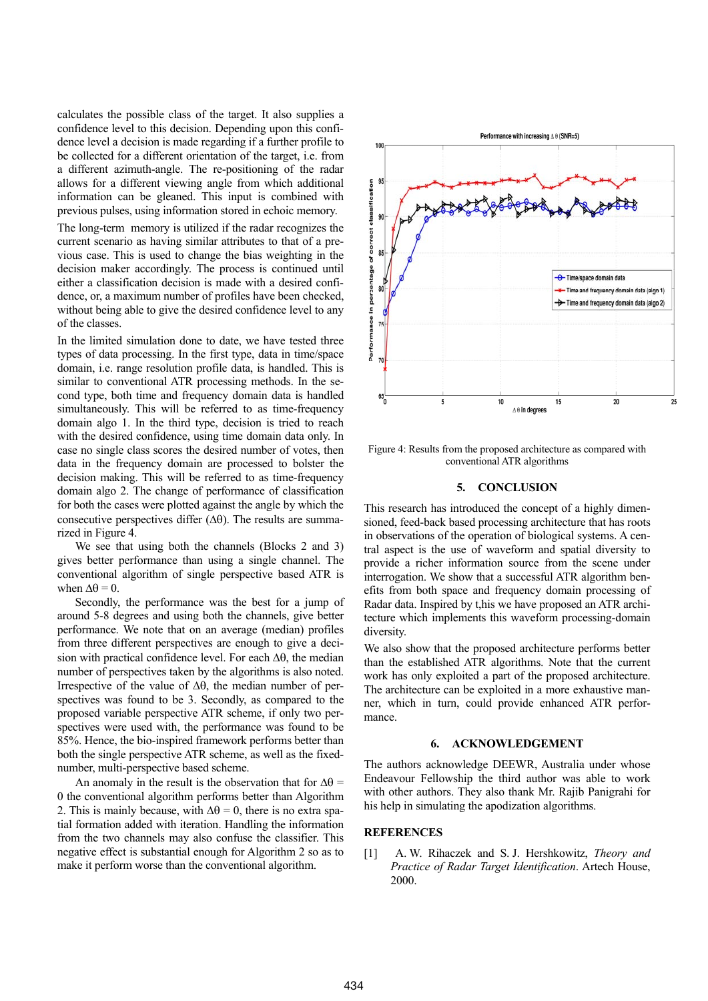calculates the possible class of the target. It also supplies a confidence level to this decision. Depending upon this confidence level a decision is made regarding if a further profile to be collected for a different orientation of the target, i.e. from a different azimuth-angle. The re-positioning of the radar allows for a different viewing angle from which additional information can be gleaned. This input is combined with previous pulses, using information stored in echoic memory.

The long-term memory is utilized if the radar recognizes the current scenario as having similar attributes to that of a previous case. This is used to change the bias weighting in the decision maker accordingly. The process is continued until either a classification decision is made with a desired confidence, or, a maximum number of profiles have been checked, without being able to give the desired confidence level to any of the classes.

In the limited simulation done to date, we have tested three types of data processing. In the first type, data in time/space domain, i.e. range resolution profile data, is handled. This is similar to conventional ATR processing methods. In the second type, both time and frequency domain data is handled simultaneously. This will be referred to as time-frequency domain algo 1. In the third type, decision is tried to reach with the desired confidence, using time domain data only. In case no single class scores the desired number of votes, then data in the frequency domain are processed to bolster the decision making. This will be referred to as time-frequency domain algo 2. The change of performance of classification for both the cases were plotted against the angle by which the consecutive perspectives differ  $(\Delta \theta)$ . The results are summarized in Figure 4.

We see that using both the channels (Blocks 2 and 3) gives better performance than using a single channel. The conventional algorithm of single perspective based ATR is when  $\Delta\theta = 0$ .

Secondly, the performance was the best for a jump of around 5-8 degrees and using both the channels, give better performance. We note that on an average (median) profiles from three different perspectives are enough to give a decision with practical confidence level. For each  $\Delta\theta$ , the median number of perspectives taken by the algorithms is also noted. Irrespective of the value of  $\Delta\theta$ , the median number of perspectives was found to be 3. Secondly, as compared to the proposed variable perspective ATR scheme, if only two perspectives were used with, the performance was found to be 85%. Hence, the bio-inspired framework performs better than both the single perspective ATR scheme, as well as the fixednumber, multi-perspective based scheme.

An anomaly in the result is the observation that for  $\Delta\theta$  = 0 the conventional algorithm performs better than Algorithm 2. This is mainly because, with  $\Delta\theta = 0$ , there is no extra spatial formation added with iteration. Handling the information from the two channels may also confuse the classifier. This negative effect is substantial enough for Algorithm 2 so as to make it perform worse than the conventional algorithm.



Figure 4: Results from the proposed architecture as compared with conventional ATR algorithms

# **5. CONCLUSION**

This research has introduced the concept of a highly dimensioned, feed-back based processing architecture that has roots in observations of the operation of biological systems. A central aspect is the use of waveform and spatial diversity to provide a richer information source from the scene under interrogation. We show that a successful ATR algorithm benefits from both space and frequency domain processing of Radar data. Inspired by t,his we have proposed an ATR architecture which implements this waveform processing-domain diversity.

We also show that the proposed architecture performs better than the established ATR algorithms. Note that the current work has only exploited a part of the proposed architecture. The architecture can be exploited in a more exhaustive manner, which in turn, could provide enhanced ATR performance.

#### **6. ACKNOWLEDGEMENT**

The authors acknowledge DEEWR, Australia under whose Endeavour Fellowship the third author was able to work with other authors. They also thank Mr. Rajib Panigrahi for his help in simulating the apodization algorithms.

# **REFERENCES**

[1] A. W. Rihaczek and S. J. Hershkowitz, *Theory and Practice of Radar Target Identification*. Artech House, 2000.